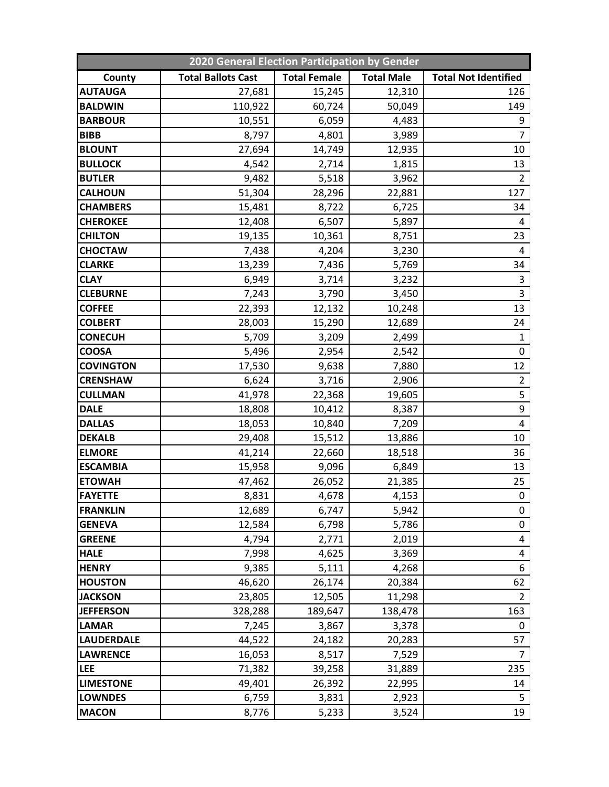| 2020 General Election Participation by Gender |                           |                     |                   |                             |  |  |  |
|-----------------------------------------------|---------------------------|---------------------|-------------------|-----------------------------|--|--|--|
| County                                        | <b>Total Ballots Cast</b> | <b>Total Female</b> | <b>Total Male</b> | <b>Total Not Identified</b> |  |  |  |
| <b>AUTAUGA</b>                                | 27,681                    | 15,245              | 12,310            | 126                         |  |  |  |
| <b>BALDWIN</b>                                | 110,922                   | 60,724              | 50,049            | 149                         |  |  |  |
| <b>BARBOUR</b>                                | 10,551                    | 6,059               | 4,483             | 9                           |  |  |  |
| <b>BIBB</b>                                   | 8,797                     | 4,801               | 3,989             | $\overline{7}$              |  |  |  |
| <b>BLOUNT</b>                                 | 27,694                    | 14,749              | 12,935            | 10                          |  |  |  |
| <b>BULLOCK</b>                                | 4,542                     | 2,714               | 1,815             | 13                          |  |  |  |
| <b>BUTLER</b>                                 | 9,482                     | 5,518               | 3,962             | $\overline{2}$              |  |  |  |
| <b>CALHOUN</b>                                | 51,304                    | 28,296              | 22,881            | 127                         |  |  |  |
| <b>CHAMBERS</b>                               | 15,481                    | 8,722               | 6,725             | 34                          |  |  |  |
| <b>CHEROKEE</b>                               | 12,408                    | 6,507               | 5,897             | 4                           |  |  |  |
| <b>CHILTON</b>                                | 19,135                    | 10,361              | 8,751             | 23                          |  |  |  |
| <b>CHOCTAW</b>                                | 7,438                     | 4,204               | 3,230             | 4                           |  |  |  |
| <b>CLARKE</b>                                 | 13,239                    | 7,436               | 5,769             | 34                          |  |  |  |
| <b>CLAY</b>                                   | 6,949                     | 3,714               | 3,232             | 3                           |  |  |  |
| <b>CLEBURNE</b>                               | 7,243                     | 3,790               | 3,450             | 3                           |  |  |  |
| <b>COFFEE</b>                                 | 22,393                    | 12,132              | 10,248            | 13                          |  |  |  |
| <b>COLBERT</b>                                | 28,003                    | 15,290              | 12,689            | 24                          |  |  |  |
| <b>CONECUH</b>                                | 5,709                     | 3,209               | 2,499             | $\mathbf{1}$                |  |  |  |
| <b>COOSA</b>                                  | 5,496                     | 2,954               | 2,542             | $\mathbf 0$                 |  |  |  |
| <b>COVINGTON</b>                              | 17,530                    | 9,638               | 7,880             | 12                          |  |  |  |
| <b>CRENSHAW</b>                               | 6,624                     | 3,716               | 2,906             | $\overline{2}$              |  |  |  |
| <b>CULLMAN</b>                                | 41,978                    | 22,368              | 19,605            | 5                           |  |  |  |
| <b>DALE</b>                                   | 18,808                    | 10,412              | 8,387             | $\boldsymbol{9}$            |  |  |  |
| <b>DALLAS</b>                                 | 18,053                    | 10,840              | 7,209             | $\overline{\mathbf{4}}$     |  |  |  |
| <b>DEKALB</b>                                 | 29,408                    | 15,512              | 13,886            | 10                          |  |  |  |
| <b>ELMORE</b>                                 | 41,214                    | 22,660              | 18,518            | 36                          |  |  |  |
| <b>ESCAMBIA</b>                               | 15,958                    | 9,096               | 6,849             | 13                          |  |  |  |
| <b>ETOWAH</b>                                 | 47,462                    | 26,052              | 21,385            | 25                          |  |  |  |
| <b>FAYETTE</b>                                | 8,831                     | 4,678               | 4,153             | $\mathbf 0$                 |  |  |  |
| <b>FRANKLIN</b>                               | 12,689                    | 6,747               | 5,942             | 0                           |  |  |  |
| <b>GENEVA</b>                                 | 12,584                    | 6,798               | 5,786             | 0                           |  |  |  |
| <b>GREENE</b>                                 | 4,794                     | 2,771               | 2,019             | 4                           |  |  |  |
| <b>HALE</b>                                   | 7,998                     | 4,625               | 3,369             | 4                           |  |  |  |
| <b>HENRY</b>                                  | 9,385                     | 5,111               | 4,268             | 6                           |  |  |  |
| <b>HOUSTON</b>                                | 46,620                    | 26,174              | 20,384            | 62                          |  |  |  |
| <b>JACKSON</b>                                | 23,805                    | 12,505              | 11,298            | $\overline{2}$              |  |  |  |
| <b>JEFFERSON</b>                              | 328,288                   | 189,647             | 138,478           | 163                         |  |  |  |
| <b>LAMAR</b>                                  | 7,245                     | 3,867               | 3,378             | $\mathbf 0$                 |  |  |  |
| <b>LAUDERDALE</b>                             | 44,522                    | 24,182              | 20,283            | 57                          |  |  |  |
| <b>LAWRENCE</b>                               | 16,053                    | 8,517               | 7,529             | $\overline{7}$              |  |  |  |
| <b>LEE</b>                                    | 71,382                    | 39,258              | 31,889            | 235                         |  |  |  |
| <b>LIMESTONE</b>                              | 49,401                    | 26,392              | 22,995            | 14                          |  |  |  |
| <b>LOWNDES</b>                                | 6,759                     | 3,831               | 2,923             | 5                           |  |  |  |
| <b>MACON</b>                                  | 8,776                     | 5,233               | 3,524             | 19                          |  |  |  |